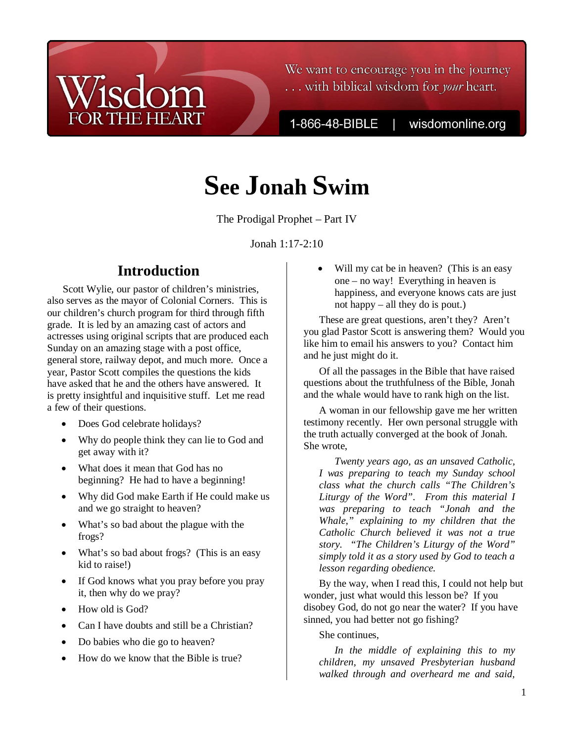# We want to encourage you in the journey ... with biblical wisdom for your heart.

1-866-48-BIBLE

wisdomonline.org

# **See Jonah Swim**

The Prodigal Prophet – Part IV

Jonah 1:17-2:10

# **Introduction**

**THE HEART** 

Scott Wylie, our pastor of children's ministries, also serves as the mayor of Colonial Corners. This is our children's church program for third through fifth grade. It is led by an amazing cast of actors and actresses using original scripts that are produced each Sunday on an amazing stage with a post office, general store, railway depot, and much more. Once a year, Pastor Scott compiles the questions the kids have asked that he and the others have answered. It is pretty insightful and inquisitive stuff. Let me read a few of their questions.

- Does God celebrate holidays?
- Why do people think they can lie to God and get away with it?
- What does it mean that God has no beginning? He had to have a beginning!
- Why did God make Earth if He could make us and we go straight to heaven?
- What's so bad about the plague with the frogs?
- What's so bad about frogs? (This is an easy kid to raise!)
- If God knows what you pray before you pray it, then why do we pray?
- How old is God?
- Can I have doubts and still be a Christian?
- Do babies who die go to heaven?
- How do we know that the Bible is true?

Will my cat be in heaven? (This is an easy one – no way! Everything in heaven is happiness, and everyone knows cats are just not happy – all they do is pout.)

These are great questions, aren't they? Aren't you glad Pastor Scott is answering them? Would you like him to email his answers to you? Contact him and he just might do it.

Of all the passages in the Bible that have raised questions about the truthfulness of the Bible, Jonah and the whale would have to rank high on the list.

A woman in our fellowship gave me her written testimony recently. Her own personal struggle with the truth actually converged at the book of Jonah. She wrote,

*Twenty years ago, as an unsaved Catholic, I was preparing to teach my Sunday school class what the church calls "The Children's Liturgy of the Word". From this material I was preparing to teach "Jonah and the Whale," explaining to my children that the Catholic Church believed it was not a true story. "The Children's Liturgy of the Word" simply told it as a story used by God to teach a lesson regarding obedience.* 

By the way, when I read this, I could not help but wonder, just what would this lesson be? If you disobey God, do not go near the water? If you have sinned, you had better not go fishing?

She continues,

*In the middle of explaining this to my children, my unsaved Presbyterian husband walked through and overheard me and said,*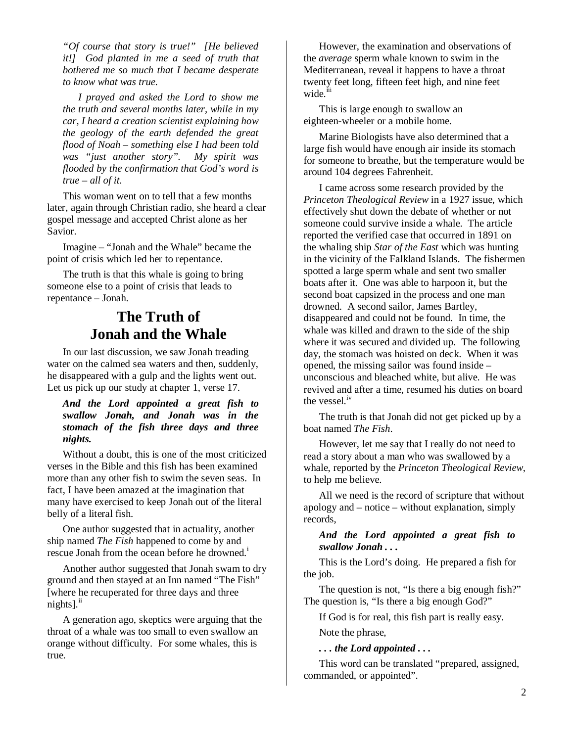*"Of course that story is true!" [He believed it!] God planted in me a seed of truth that bothered me so much that I became desperate to know what was true.* 

*I prayed and asked the Lord to show me the truth and several months later, while in my car, I heard a creation scientist explaining how the geology of the earth defended the great flood of Noah – something else I had been told was "just another story". My spirit was flooded by the confirmation that God's word is true – all of it.* 

This woman went on to tell that a few months later, again through Christian radio, she heard a clear gospel message and accepted Christ alone as her Savior.

Imagine – "Jonah and the Whale" became the point of crisis which led her to repentance.

The truth is that this whale is going to bring someone else to a point of crisis that leads to repentance – Jonah.

# **The Truth of Jonah and the Whale**

In our last discussion, we saw Jonah treading water on the calmed sea waters and then, suddenly, he disappeared with a gulp and the lights went out. Let us pick up our study at chapter 1, verse 17.

## *And the Lord appointed a great fish to swallow Jonah, and Jonah was in the stomach of the fish three days and three nights.*

Without a doubt, this is one of the most criticized verses in the Bible and this fish has been examined more than any other fish to swim the seven seas. In fact, I have been amazed at the imagination that many have exercised to keep Jonah out of the literal belly of a literal fish.

One author suggested that in actuality, another ship named *The Fish* happened to come by and rescue Jonah from the ocean before he drowned.<sup>1</sup>

Another author suggested that Jonah swam to dry ground and then stayed at an Inn named "The Fish" [where he recuperated for three days and three  $nights$ ].<sup>ii</sup>

A generation ago, skeptics were arguing that the throat of a whale was too small to even swallow an orange without difficulty. For some whales, this is true.

However, the examination and observations of the *average* sperm whale known to swim in the Mediterranean, reveal it happens to have a throat twenty feet long, fifteen feet high, and nine feet wide.<sup>iii</sup>

This is large enough to swallow an eighteen-wheeler or a mobile home.

Marine Biologists have also determined that a large fish would have enough air inside its stomach for someone to breathe, but the temperature would be around 104 degrees Fahrenheit.

I came across some research provided by the *Princeton Theological Review* in a 1927 issue, which effectively shut down the debate of whether or not someone could survive inside a whale. The article reported the verified case that occurred in 1891 on the whaling ship *Star of the East* which was hunting in the vicinity of the Falkland Islands. The fishermen spotted a large sperm whale and sent two smaller boats after it. One was able to harpoon it, but the second boat capsized in the process and one man drowned. A second sailor, James Bartley, disappeared and could not be found. In time, the whale was killed and drawn to the side of the ship where it was secured and divided up. The following day, the stomach was hoisted on deck. When it was opened, the missing sailor was found inside – unconscious and bleached white, but alive. He was revived and after a time, resumed his duties on board the vessel.<sup>iv</sup>

The truth is that Jonah did not get picked up by a boat named *The Fish*.

However, let me say that I really do not need to read a story about a man who was swallowed by a whale, reported by the *Princeton Theological Review*, to help me believe.

All we need is the record of scripture that without apology and – notice – without explanation, simply records,

*And the Lord appointed a great fish to swallow Jonah . . .* 

This is the Lord's doing. He prepared a fish for the job.

The question is not, "Is there a big enough fish?" The question is, "Is there a big enough God?"

If God is for real, this fish part is really easy.

Note the phrase,

*. . . the Lord appointed . . .* 

This word can be translated "prepared, assigned, commanded, or appointed".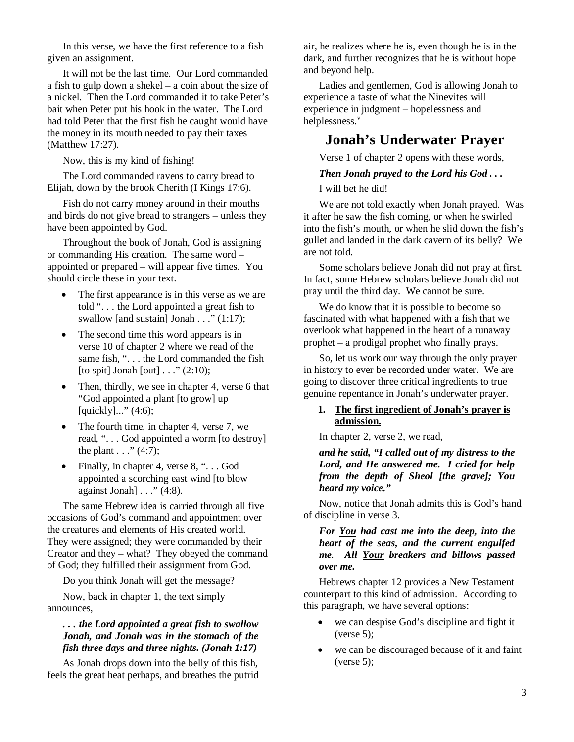In this verse, we have the first reference to a fish given an assignment.

It will not be the last time. Our Lord commanded a fish to gulp down a shekel – a coin about the size of a nickel. Then the Lord commanded it to take Peter's bait when Peter put his hook in the water. The Lord had told Peter that the first fish he caught would have the money in its mouth needed to pay their taxes (Matthew 17:27).

Now, this is my kind of fishing!

The Lord commanded ravens to carry bread to Elijah, down by the brook Cherith (I Kings 17:6).

Fish do not carry money around in their mouths and birds do not give bread to strangers – unless they have been appointed by God.

Throughout the book of Jonah, God is assigning or commanding His creation. The same word – appointed or prepared – will appear five times. You should circle these in your text.

- The first appearance is in this verse as we are told ". . . the Lord appointed a great fish to swallow [and sustain] Jonah  $\ldots$  " (1:17);
- The second time this word appears is in verse 10 of chapter 2 where we read of the same fish, "... the Lord commanded the fish [to spit] Jonah [out] . . ." (2:10);
- Then, thirdly, we see in chapter 4, verse 6 that "God appointed a plant [to grow] up [quickly]..." (4:6);
- The fourth time, in chapter 4, verse 7, we read, ". . . God appointed a worm [to destroy] the plant  $\ldots$  " (4:7);
- Finally, in chapter 4, verse 8, "... God appointed a scorching east wind [to blow against Jonah]  $\ldots$  " (4:8).

The same Hebrew idea is carried through all five occasions of God's command and appointment over the creatures and elements of His created world. They were assigned; they were commanded by their Creator and they – what? They obeyed the command of God; they fulfilled their assignment from God.

Do you think Jonah will get the message?

Now, back in chapter 1, the text simply announces,

## *. . . the Lord appointed a great fish to swallow Jonah, and Jonah was in the stomach of the fish three days and three nights. (Jonah 1:17)*

As Jonah drops down into the belly of this fish, feels the great heat perhaps, and breathes the putrid air, he realizes where he is, even though he is in the dark, and further recognizes that he is without hope and beyond help.

Ladies and gentlemen, God is allowing Jonah to experience a taste of what the Ninevites will experience in judgment – hopelessness and helplessness.<sup>v</sup>

# **Jonah's Underwater Prayer**

Verse 1 of chapter 2 opens with these words,

#### *Then Jonah prayed to the Lord his God . . .*

I will bet he did!

We are not told exactly when Jonah prayed. Was it after he saw the fish coming, or when he swirled into the fish's mouth, or when he slid down the fish's gullet and landed in the dark cavern of its belly? We are not told.

Some scholars believe Jonah did not pray at first. In fact, some Hebrew scholars believe Jonah did not pray until the third day. We cannot be sure.

We do know that it is possible to become so fascinated with what happened with a fish that we overlook what happened in the heart of a runaway prophet – a prodigal prophet who finally prays.

So, let us work our way through the only prayer in history to ever be recorded under water. We are going to discover three critical ingredients to true genuine repentance in Jonah's underwater prayer.

#### **1. The first ingredient of Jonah's prayer is admission.**

In chapter 2, verse 2, we read,

*and he said, "I called out of my distress to the Lord, and He answered me. I cried for help from the depth of Sheol [the grave]; You heard my voice."* 

Now, notice that Jonah admits this is God's hand of discipline in verse 3.

#### *For You had cast me into the deep, into the heart of the seas, and the current engulfed me. All Your breakers and billows passed over me.*

Hebrews chapter 12 provides a New Testament counterpart to this kind of admission. According to this paragraph, we have several options:

- we can despise God's discipline and fight it  $(verse 5);$
- we can be discouraged because of it and faint  $(verse 5);$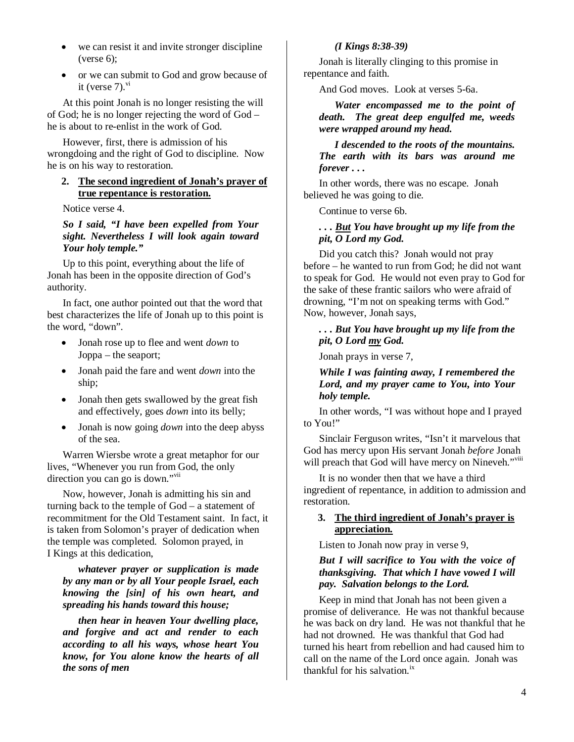- we can resist it and invite stronger discipline  $(verse 6)$ ;
- or we can submit to God and grow because of it (verse  $7)^{vi}$

At this point Jonah is no longer resisting the will of God; he is no longer rejecting the word of God – he is about to re-enlist in the work of God.

However, first, there is admission of his wrongdoing and the right of God to discipline. Now he is on his way to restoration.

## **2. The second ingredient of Jonah's prayer of true repentance is restoration.**

Notice verse 4.

*So I said, "I have been expelled from Your sight. Nevertheless I will look again toward Your holy temple."* 

Up to this point, everything about the life of Jonah has been in the opposite direction of God's authority.

In fact, one author pointed out that the word that best characterizes the life of Jonah up to this point is the word, "down".

- Jonah rose up to flee and went *down* to Joppa – the seaport;
- Jonah paid the fare and went *down* into the ship;
- Jonah then gets swallowed by the great fish and effectively, goes *down* into its belly;
- Jonah is now going *down* into the deep abyss of the sea.

Warren Wiersbe wrote a great metaphor for our lives, "Whenever you run from God, the only direction you can go is down."<sup>vii</sup>

Now, however, Jonah is admitting his sin and turning back to the temple of God – a statement of recommitment for the Old Testament saint. In fact, it is taken from Solomon's prayer of dedication when the temple was completed. Solomon prayed, in I Kings at this dedication,

*whatever prayer or supplication is made by any man or by all Your people Israel, each knowing the [sin] of his own heart, and spreading his hands toward this house;* 

*then hear in heaven Your dwelling place, and forgive and act and render to each according to all his ways, whose heart You know, for You alone know the hearts of all the sons of men* 

*(I Kings 8:38-39)* 

Jonah is literally clinging to this promise in repentance and faith.

And God moves. Look at verses 5-6a.

*Water encompassed me to the point of death. The great deep engulfed me, weeds were wrapped around my head.* 

### *I descended to the roots of the mountains. The earth with its bars was around me forever . . .*

In other words, there was no escape. Jonah believed he was going to die.

Continue to verse 6b.

# *. . . But You have brought up my life from the pit, O Lord my God.*

Did you catch this? Jonah would not pray before – he wanted to run from God; he did not want to speak for God. He would not even pray to God for the sake of these frantic sailors who were afraid of drowning, "I'm not on speaking terms with God." Now, however, Jonah says,

# *. . . But You have brought up my life from the pit, O Lord my God.*

Jonah prays in verse 7,

*While I was fainting away, I remembered the Lord, and my prayer came to You, into Your holy temple.* 

In other words, "I was without hope and I prayed to You!"

Sinclair Ferguson writes, "Isn't it marvelous that God has mercy upon His servant Jonah *before* Jonah will preach that God will have mercy on Nineveh."viii

It is no wonder then that we have a third ingredient of repentance, in addition to admission and restoration.

# **3. The third ingredient of Jonah's prayer is appreciation.**

Listen to Jonah now pray in verse 9,

## *But I will sacrifice to You with the voice of thanksgiving. That which I have vowed I will pay. Salvation belongs to the Lord.*

Keep in mind that Jonah has not been given a promise of deliverance. He was not thankful because he was back on dry land. He was not thankful that he had not drowned. He was thankful that God had turned his heart from rebellion and had caused him to call on the name of the Lord once again. Jonah was thankful for his salvation. $^{ix}$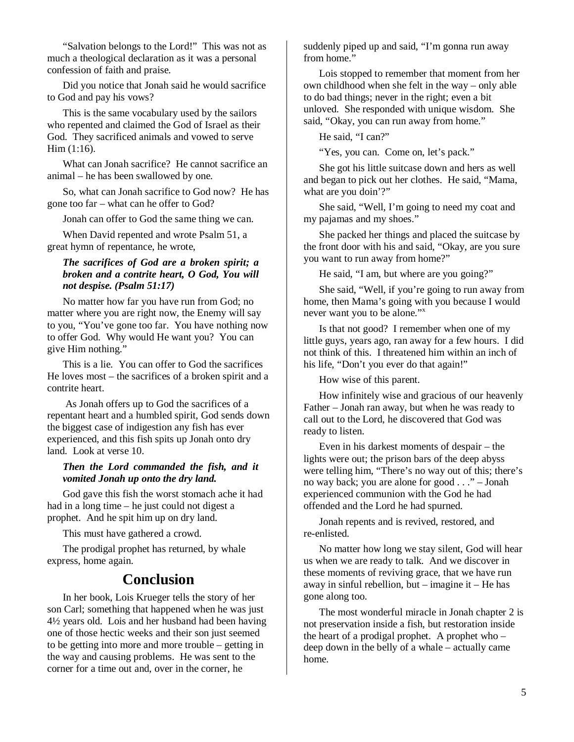"Salvation belongs to the Lord!" This was not as much a theological declaration as it was a personal confession of faith and praise.

Did you notice that Jonah said he would sacrifice to God and pay his vows?

This is the same vocabulary used by the sailors who repented and claimed the God of Israel as their God. They sacrificed animals and vowed to serve Him (1:16).

What can Jonah sacrifice? He cannot sacrifice an animal – he has been swallowed by one.

So, what can Jonah sacrifice to God now? He has gone too far – what can he offer to God?

Jonah can offer to God the same thing we can.

When David repented and wrote Psalm 51, a great hymn of repentance, he wrote,

## *The sacrifices of God are a broken spirit; a broken and a contrite heart, O God, You will not despise. (Psalm 51:17)*

No matter how far you have run from God; no matter where you are right now, the Enemy will say to you, "You've gone too far. You have nothing now to offer God. Why would He want you? You can give Him nothing."

This is a lie. You can offer to God the sacrifices He loves most – the sacrifices of a broken spirit and a contrite heart.

 As Jonah offers up to God the sacrifices of a repentant heart and a humbled spirit, God sends down the biggest case of indigestion any fish has ever experienced, and this fish spits up Jonah onto dry land. Look at verse 10.

### *Then the Lord commanded the fish, and it vomited Jonah up onto the dry land.*

God gave this fish the worst stomach ache it had had in a long time – he just could not digest a prophet. And he spit him up on dry land.

This must have gathered a crowd.

The prodigal prophet has returned, by whale express, home again.

# **Conclusion**

In her book, Lois Krueger tells the story of her son Carl; something that happened when he was just 4½ years old. Lois and her husband had been having one of those hectic weeks and their son just seemed to be getting into more and more trouble – getting in the way and causing problems. He was sent to the corner for a time out and, over in the corner, he

suddenly piped up and said, "I'm gonna run away from home."

Lois stopped to remember that moment from her own childhood when she felt in the way – only able to do bad things; never in the right; even a bit unloved. She responded with unique wisdom. She said, "Okay, you can run away from home."

He said, "I can?"

"Yes, you can. Come on, let's pack."

She got his little suitcase down and hers as well and began to pick out her clothes. He said, "Mama, what are you doin'?"

She said, "Well, I'm going to need my coat and my pajamas and my shoes."

She packed her things and placed the suitcase by the front door with his and said, "Okay, are you sure you want to run away from home?"

He said, "I am, but where are you going?"

She said, "Well, if you're going to run away from home, then Mama's going with you because I would never want you to be alone."<sup>x</sup>

Is that not good? I remember when one of my little guys, years ago, ran away for a few hours. I did not think of this. I threatened him within an inch of his life, "Don't you ever do that again!"

How wise of this parent.

How infinitely wise and gracious of our heavenly Father – Jonah ran away, but when he was ready to call out to the Lord, he discovered that God was ready to listen.

Even in his darkest moments of despair – the lights were out; the prison bars of the deep abyss were telling him, "There's no way out of this; there's no way back; you are alone for good . . ." – Jonah experienced communion with the God he had offended and the Lord he had spurned.

Jonah repents and is revived, restored, and re-enlisted.

No matter how long we stay silent, God will hear us when we are ready to talk. And we discover in these moments of reviving grace, that we have run away in sinful rebellion, but – imagine it – He has gone along too.

The most wonderful miracle in Jonah chapter 2 is not preservation inside a fish, but restoration inside the heart of a prodigal prophet. A prophet who – deep down in the belly of a whale – actually came home.